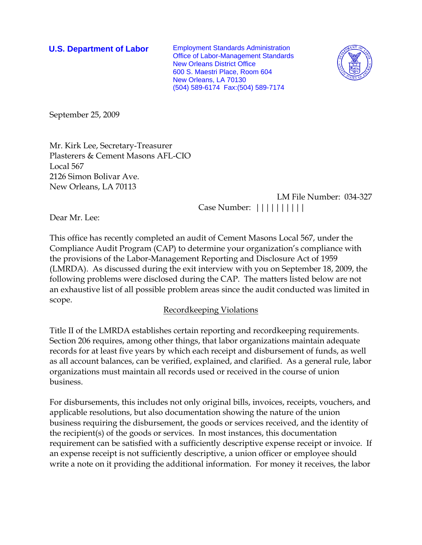**U.S. Department of Labor** Employment Standards Administration Office of Labor-Management Standards New Orleans District Office 600 S. Maestri Place, Room 604 New Orleans, LA 70130 (504) 589-6174 Fax:(504) 589-7174



September 25, 2009

Mr. Kirk Lee, Secretary-Treasurer Plasterers & Cement Masons AFL-CIO Local 567 2126 Simon Bolivar Ave. New Orleans, LA 70113

 LM File Number: 034-327 Case Number: ||||||||||

Dear Mr. Lee:

This office has recently completed an audit of Cement Masons Local 567, under the Compliance Audit Program (CAP) to determine your organization's compliance with the provisions of the Labor-Management Reporting and Disclosure Act of 1959 (LMRDA). As discussed during the exit interview with you on September 18, 2009, the following problems were disclosed during the CAP. The matters listed below are not an exhaustive list of all possible problem areas since the audit conducted was limited in scope.

### Recordkeeping Violations

Title II of the LMRDA establishes certain reporting and recordkeeping requirements. Section 206 requires, among other things, that labor organizations maintain adequate records for at least five years by which each receipt and disbursement of funds, as well as all account balances, can be verified, explained, and clarified. As a general rule, labor organizations must maintain all records used or received in the course of union business.

For disbursements, this includes not only original bills, invoices, receipts, vouchers, and applicable resolutions, but also documentation showing the nature of the union business requiring the disbursement, the goods or services received, and the identity of the recipient(s) of the goods or services. In most instances, this documentation requirement can be satisfied with a sufficiently descriptive expense receipt or invoice. If an expense receipt is not sufficiently descriptive, a union officer or employee should write a note on it providing the additional information. For money it receives, the labor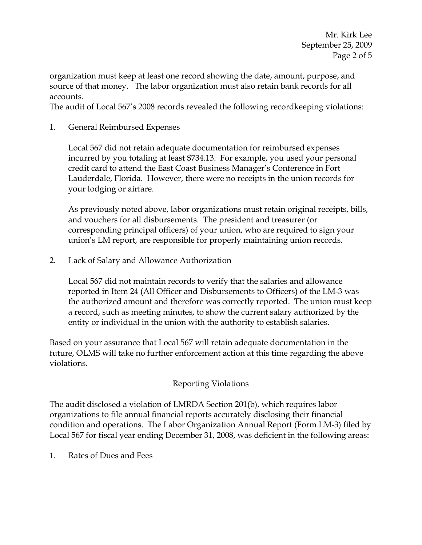organization must keep at least one record showing the date, amount, purpose, and source of that money. The labor organization must also retain bank records for all accounts.

The audit of Local 567's 2008 records revealed the following recordkeeping violations:

1. General Reimbursed Expenses

Local 567 did not retain adequate documentation for reimbursed expenses incurred by you totaling at least \$734.13. For example, you used your personal credit card to attend the East Coast Business Manager's Conference in Fort Lauderdale, Florida. However, there were no receipts in the union records for your lodging or airfare.

As previously noted above, labor organizations must retain original receipts, bills, and vouchers for all disbursements. The president and treasurer (or corresponding principal officers) of your union, who are required to sign your union's LM report, are responsible for properly maintaining union records.

2. Lack of Salary and Allowance Authorization

Local 567 did not maintain records to verify that the salaries and allowance reported in Item 24 (All Officer and Disbursements to Officers) of the LM-3 was the authorized amount and therefore was correctly reported. The union must keep a record, such as meeting minutes, to show the current salary authorized by the entity or individual in the union with the authority to establish salaries.

Based on your assurance that Local 567 will retain adequate documentation in the future, OLMS will take no further enforcement action at this time regarding the above violations.

# Reporting Violations

The audit disclosed a violation of LMRDA Section 201(b), which requires labor organizations to file annual financial reports accurately disclosing their financial condition and operations. The Labor Organization Annual Report (Form LM-3) filed by Local 567 for fiscal year ending December 31, 2008, was deficient in the following areas:

1. Rates of Dues and Fees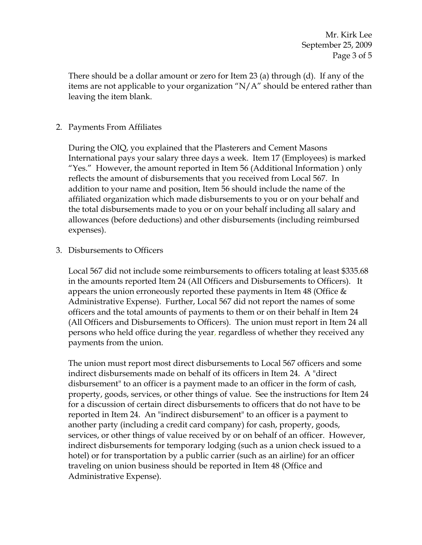There should be a dollar amount or zero for Item 23 (a) through (d). If any of the items are not applicable to your organization "N/A" should be entered rather than leaving the item blank.

# 2. Payments From Affiliates

During the OIQ, you explained that the Plasterers and Cement Masons International pays your salary three days a week. Item 17 (Employees) is marked "Yes." However, the amount reported in Item 56 (Additional Information ) only reflects the amount of disbursements that you received from Local 567. In addition to your name and position, Item 56 should include the name of the affiliated organization which made disbursements to you or on your behalf and the total disbursements made to you or on your behalf including all salary and allowances (before deductions) and other disbursements (including reimbursed expenses).

3. Disbursements to Officers

Local 567 did not include some reimbursements to officers totaling at least \$335.68 in the amounts reported Item 24 (All Officers and Disbursements to Officers). It appears the union erroneously reported these payments in Item 48 (Office  $\&$ Administrative Expense). Further, Local 567 did not report the names of some officers and the total amounts of payments to them or on their behalf in Item 24 (All Officers and Disbursements to Officers). The union must report in Item 24 all persons who held office during the year, regardless of whether they received any payments from the union.

The union must report most direct disbursements to Local 567 officers and some indirect disbursements made on behalf of its officers in Item 24. A "direct disbursement" to an officer is a payment made to an officer in the form of cash, property, goods, services, or other things of value. See the instructions for Item 24 for a discussion of certain direct disbursements to officers that do not have to be reported in Item 24. An "indirect disbursement" to an officer is a payment to another party (including a credit card company) for cash, property, goods, services, or other things of value received by or on behalf of an officer. However, indirect disbursements for temporary lodging (such as a union check issued to a hotel) or for transportation by a public carrier (such as an airline) for an officer traveling on union business should be reported in Item 48 (Office and Administrative Expense).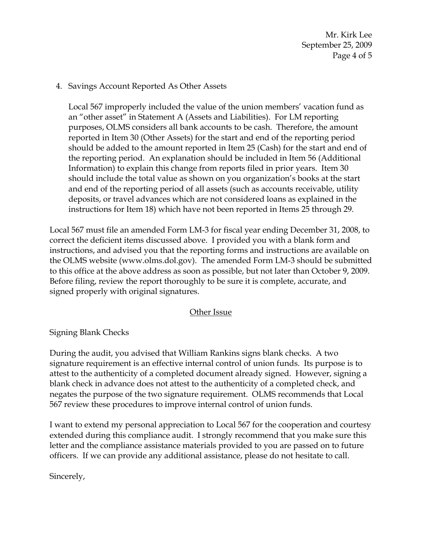Mr. Kirk Lee September 25, 2009 Page 4 of 5

## 4. Savings Account Reported As Other Assets

Local 567 improperly included the value of the union members' vacation fund as an "other asset" in Statement A (Assets and Liabilities). For LM reporting purposes, OLMS considers all bank accounts to be cash. Therefore, the amount reported in Item 30 (Other Assets) for the start and end of the reporting period should be added to the amount reported in Item 25 (Cash) for the start and end of the reporting period. An explanation should be included in Item 56 (Additional Information) to explain this change from reports filed in prior years. Item 30 should include the total value as shown on you organization's books at the start and end of the reporting period of all assets (such as accounts receivable, utility deposits, or travel advances which are not considered loans as explained in the instructions for Item 18) which have not been reported in Items 25 through 29.

Local 567 must file an amended Form LM-3 for fiscal year ending December 31, 2008, to correct the deficient items discussed above. I provided you with a blank form and instructions, and advised you that the reporting forms and instructions are available on the OLMS website (www.olms.dol.gov). The amended Form LM-3 should be submitted to this office at the above address as soon as possible, but not later than October 9, 2009. Before filing, review the report thoroughly to be sure it is complete, accurate, and signed properly with original signatures.

### Other Issue

Signing Blank Checks

During the audit, you advised that William Rankins signs blank checks. A two signature requirement is an effective internal control of union funds. Its purpose is to attest to the authenticity of a completed document already signed. However, signing a blank check in advance does not attest to the authenticity of a completed check, and negates the purpose of the two signature requirement. OLMS recommends that Local 567 review these procedures to improve internal control of union funds.

I want to extend my personal appreciation to Local 567 for the cooperation and courtesy extended during this compliance audit. I strongly recommend that you make sure this letter and the compliance assistance materials provided to you are passed on to future officers. If we can provide any additional assistance, please do not hesitate to call.

Sincerely,